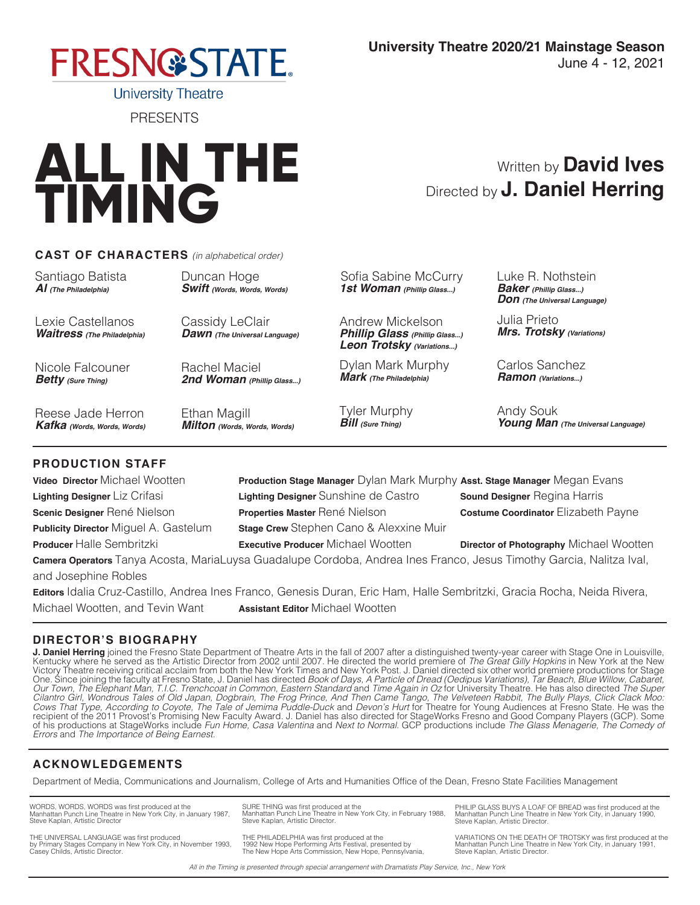

**ALL IN THE TIMING**

PRESENTS

## **CAST OF CHARACTERS** *(in alphabetical order)*

Santiago Batista *Al (The Philadelphia)*

Lexie Castellanos *Waitress (The Philadelphia)*

Nicole Falcouner *Betty (Sure Thing)*

Reese Jade Herron *Kafka (Words, Words, Words)* Duncan Hoge *Swift (Words, Words, Words)*

Cassidy LeClair *Dawn (The Universal Language)*

Rachel Maciel *2nd Woman (Phillip Glass...)*

Ethan Magill *Milton (Words, Words, Words)*

Michael Wootten, and Tevin Want **Assistant Editor** Michael Wootten

Sofia Sabine McCurry *1st Woman (Phillip Glass...)*

Andrew Mickelson *Phillip Glass (Phillip Glass...) Leon Trotsky (Variations...)*

Dylan Mark Murphy *Mark (The Philadelphia)*

Tyler Murphy *Bill (Sure Thing)*

Luke R. Nothstein *Baker (Phillip Glass...) Don (The Universal Language)*

Directed by **J. Daniel Herring**

Written by **David Ives**

Julia Prieto *Mrs. Trotsky (Variations)*

Carlos Sanchez *Ramon (Variations...)*

Andy Souk *Young Man (The Universal Language)*

## **PRODUCTION STAFF**

| <b>Video Director Michael Wootten</b>                                                                                    | Production Stage Manager Dylan Mark Murphy Asst. Stage Manager Megan Evans |                                         |
|--------------------------------------------------------------------------------------------------------------------------|----------------------------------------------------------------------------|-----------------------------------------|
| Lighting Designer Liz Crifasi                                                                                            | Lighting Designer Sunshine de Castro                                       | <b>Sound Designer Regina Harris</b>     |
| Scenic Designer René Nielson                                                                                             | Properties Master René Nielson                                             | Costume Coordinator Elizabeth Payne     |
| <b>Publicity Director Miguel A. Gastelum</b>                                                                             | <b>Stage Crew</b> Stephen Cano & Alexxine Muir                             |                                         |
| Producer Halle Sembritzki                                                                                                | <b>Executive Producer Michael Wootten</b>                                  | Director of Photography Michael Wootten |
| Camera Operators Tanya Acosta, MariaLuysa Guadalupe Cordoba, Andrea Ines Franco, Jesus Timothy Garcia, Nalitza Ival,     |                                                                            |                                         |
| and Josephine Robles                                                                                                     |                                                                            |                                         |
| Editors Idalia Cruz-Castillo, Andrea Ines Franco, Genesis Duran, Eric Ham, Halle Sembritzki, Gracia Rocha, Neida Rivera, |                                                                            |                                         |

**DIRECTOR'S BIOGRAPHY**

**J. Daniel Herring** joined the Fresno State Department of Theatre Arts in the fall of 2007 after a distinguished twenty-year career with Stage One in Louisville,<br>Kentucky where he served as the Artistic Director from 2002 Victory Theatre receiving critical acclaim from both the New York Times and New York Post. J. Daniel directed six other world premiere productions for Stage One. Since joining the faculty at Fresno State, J. Daniel has directed *Book of Days, A Particle of Dread (Oedipus Variations), Tar Beach, Blue Willow, Cabaret, Our Town, The Elephant Man, T.I.C. Trenchcoat in Common, Eastern Standard* and *Time Again in Oz* for University Theatre. He has also directed *The Super*  Cilantro Girl, Wondrous Tales of Old Japan, Dogbrain, The Frog Prince, And Then Came Tango, The Velveteen Rabbit, The Bully Plays, Click Clack Moo:<br>Cows That Type, According to Coyote, The Tale of Jemima Puddle-Duck and De of his productions at StageWorks include *Fun Home, Casa Valentina* and *Next to Normal.* GCP productions include *The Glass Menagerie, The Comedy of Errors* and *The Importance of Being Earnest.*

# **ACKNOWLEDGEMENTS**

Department of Media, Communications and Journalism, College of Arts and Humanities Office of the Dean, Fresno State Facilities Management

WORDS, WORDS, WORDS was first produced at the Manhattan Punch Line Theatre in New York City, in January 1987, Steve Kaplan, Artistic Director SURE THING was first produced at the Manhattan Punch Line Theatre in New York City, in February 1988, Steve Kaplan, Artistic Director.

THE UNIVERSAL LANGUAGE was first produced by Primary Stages Company in New York City, in November 1993, Casey Childs, Artistic Director.

THE PHILADELPHIA was first produced at the 1992 New Hope Performing Arts Festival, presented by The New Hope Arts Commission, New Hope, Pennsylvania,

PHILIP GLASS BUYS A LOAF OF BREAD was first produced at the Manhattan Punch Line Theatre in New York City, in January 1990, Steve Kaplan, Artistic Director.

VARIATIONS ON THE DEATH OF TROTSKY was first produced at the Manhattan Punch Line Theatre in New York City, in January 1991, Steve Kaplan, Artistic Director.

*All in the Timing is presented through special arrangement with Dramatists Play Service, Inc., New York*